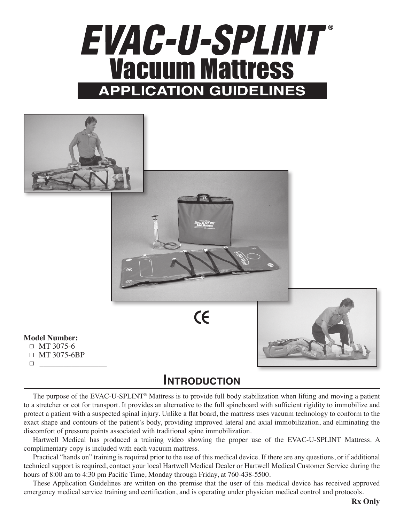# EVAC-U-SPLINT® Vacuum Mattress **APPLICATION GUIDELINES**



## **Introduction**

The purpose of the EVAC-U-SPLINT® Mattress is to provide full body stabilization when lifting and moving a patient to a stretcher or cot for transport. It provides an alternative to the full spineboard with sufficient rigidity to immobilize and protect a patient with a suspected spinal injury. Unlike a flat board, the mattress uses vacuum technology to conform to the exact shape and contours of the patient's body, providing improved lateral and axial immobilization, and eliminating the discomfort of pressure points associated with traditional spine immobilization.

Hartwell Medical has produced a training video showing the proper use of the EVAC-U-SPLINT Mattress. A complimentary copy is included with each vacuum mattress.

Practical "hands on" training is required prior to the use of this medical device. If there are any questions, or if additional technical support is required, contact your local Hartwell Medical Dealer or Hartwell Medical Customer Service during the hours of 8:00 am to 4:30 pm Pacific Time, Monday through Friday, at 760-438-5500.

These Application Guidelines are written on the premise that the user of this medical device has received approved emergency medical service training and certification, and is operating under physician medical control and protocols.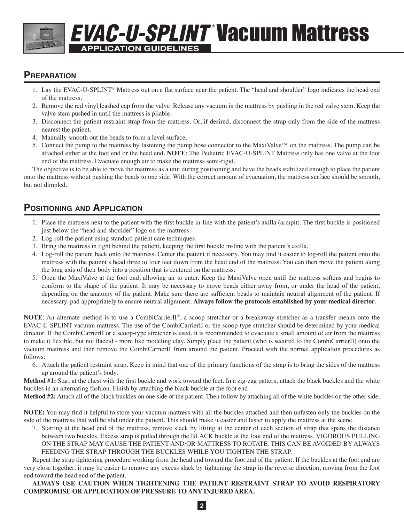# **APPLICATION GUIDELINES EVAC-U-SPLINT Vacuum Mattress**

### **Preparation**

- 1. Lay the EVAC-U-SPLINT® Mattress out on a flat surface near the patient. The "head and shoulder" logo indicates the head end of the mattress.
- 2. Remove the red vinyl leashed cap from the valve. Release any vacuum in the mattress by pushing in the red valve stem. Keep the valve stem pushed in until the mattress is pliable.
- 3. Disconnect the patient restraint strap from the mattress. Or, if desired, disconnect the strap only from the side of the mattress nearest the patient.
- 4. Manually smooth out the beads to form a level surface.
- 5. Connect the pump to the mattress by fastening the pump hose connector to the MaxiValve<sup>™</sup> on the mattress. The pump can be attached either at the foot end or the head end. **NOTE**: The Pediatric EVAC-U-SPLINT Mattress only has one valve at the foot end of the mattress. Evacuate enough air to make the mattress semi-rigid.

The objective is to be able to move the mattress as a unit during positioning and have the beads stabilized enough to place the patient onto the mattress without pushing the beads to one side. With the correct amount of evacuation, the mattress surface should be smooth, but not dimpled.

## **Positioning and Application**

- 1. Place the mattress next to the patient with the first buckle in-line with the patient's axilla (armpit). The first buckle is positioned just below the "head and shoulder" logo on the mattress.
- 2. Log-roll the patient using standard patient care techniques.
- 3. Bring the mattress in tight behind the patient, keeping the first buckle in-line with the patient's axilla.
- 4. Log-roll the patient back onto the mattress. Center the patient if necessary. You may find it easier to log-roll the patient onto the mattress with the patient's head three to four feet down from the head end of the mattress. You can then move the patient along the long axis of their body into a position that is centered on the mattress.
- 5. Open the MaxiValve at the foot end, allowing air to enter. Keep the MaxiValve open until the mattress softens and begins to conform to the shape of the patient. It may be necessary to move beads either away from, or under the head of the patient, depending on the anatomy of the patient. Make sure there are sufficient beads to maintain neutral alignment of the patient. If necessary, pad appropriately to ensure neutral alignment. **Always follow the protocols established by your medical director**.

**NOTE**: An alternate method is to use a CombiCarrierII®, a scoop stretcher or a breakaway stretcher as a transfer means onto the EVAC-U-SPLINT vacuum mattress. The use of the CombiCarrierII or the scoop-type stretcher should be determined by your medical director. If the CombiCarrierII or a scoop-type stretcher is used, it is recommended to evacuate a small amount of air from the mattress to make it flexible, but not flaccid - more like modeling clay. Simply place the patient (who is secured to the CombiCarrierII) onto the vacuum mattress and then remove the CombiCarrierII from around the patient. Proceed with the normal application procedures as follows:

6. Attach the patient restraint strap. Keep in mind that one of the primary functions of the strap is to bring the sides of the mattress up around the patient's body.

**Method #1:** Start at the chest with the first buckle and work toward the feet. In a zig-zag pattern, attach the black buckles and the white buckles in an alternating fashion. Finish by attaching the black buckle at the foot end.

**Method #2:** Attach all of the black buckles on one side of the patient. Then follow by attaching all of the white buckles on the other side.

**NOTE:** You may find it helpful to store your vacuum mattress with all the buckles attached and then unfasten only the buckles on the side of the mattress that will be slid under the patient. This should make it easier and faster to apply the mattress at the scene.

7. Starting at the head end of the mattress, remove slack by lifting at the center of each section of strap that spans the distance between two buckles. Excess strap is pulled through the BLACK buckle at the foot end of the mattress. VIGOROUS PULLING ON THE STRAP MAY CAUSE THE PATIENT AND/OR MATTRESS TO ROTATE. THIS CAN BE AVOIDED BY ALWAYS FEEDING THE STRAP THROUGH THE BUCKLES WHILE YOU TIGHTEN THE STRAP.

Repeat the strap tightening procedure working from the head end toward the foot end of the patient. If the buckles at the foot end are very close together, it may be easier to remove any excess slack by tightening the strap in the reverse direction, moving from the foot end toward the head end of the patient.

#### **ALWAYS USE CAUTION WHEN TIGHTENING THE PATIENT RESTRAINT STRAP TO AVOID RESPIRATORY COMPROMISE OR APPLICATION OF PRESSURE TO ANY INJURED AREA.**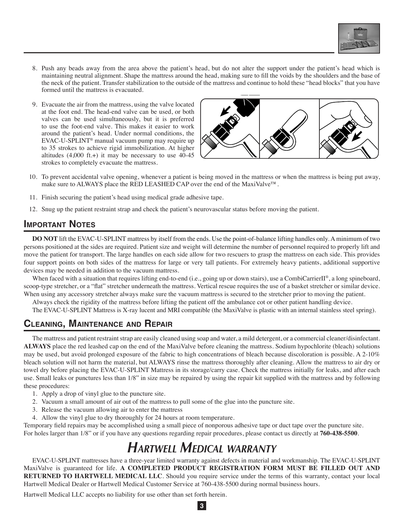

- 8. Push any beads away from the area above the patient's head, but do not alter the support under the patient's head which is o. This any ocads away from the area above the patient's head, out to not are the support under the patient's head which is<br>maintaining neutral alignment. Shape the mattress around the head, making sure to fill the voids b the neck of the patient. Transfer stabilization to the outside of the mattress and continue to hold these "head blocks" that you have formed until the mattress is evacuated.
- 9. Evacuate the air from the mattress, using the valve located at the foot end. The head-end valve can be used, or both valves can be used simultaneously, but it is preferred to use the foot-end valve. This makes it easier to work around the patient's head. Under normal conditions, the EVAC-U-SPLINT® manual vacuum pump may require up to 35 strokes to achieve rigid immobilization. At higher altitudes  $(4,000 \text{ ft.})$  it may be necessary to use  $40-45$ strokes to completely evacuate the mattress.



- 10. To prevent accidental valve opening, whenever a patient is being moved in the mattress or when the mattress is being put away, make sure to ALWAYS place the RED LEASHED CAP over the end of the MaxiValve<sup>™</sup>. **• <sup>V</sup> -U-** Extremity Splints
- 11. Finish securing the patient's head using medical grade adhesive tape.
- 12. Snug up the patient restraint strap and check the patient's neurovascular status before moving the patient.  $\mathcal{L} = \mathcal{L} \mathcal{L} = \mathcal{L} \mathcal{L} \mathcal{L}$ **• <sup>V</sup> -U-** Adult attresses

#### **IMPORTANT NOTES**

persons positioned at the sides are required. Patient size and weight will determine the number of personnel required to properly lift and move the patient for transport. The large handles on each side allow for two rescuers to grasp the mattress on each side. This provides four support points on both sides of the mattress for large or very tall patients. For extremely heavy patients, additional supportive devices may be needed in addition to the vacuum mattress. **• <sup>U</sup> <sup>y</sup>** Splints **DO NOT** lift the EVAC-U-SPLINT mattress by itself from the ends. Use the point-of-balance lifting handles only. A minimum of two

scoop-type stretcher, or a hat stretcher underneath the mattress. Vertical rescue requires the use of a basket stretcher or similar departed to the stretcher prior to moving the patient. When faced with a situation that requires lifting end-to-end (i.e., going up or down stairs), use a CombiCarrierII®, a long spineboard, scoop-type stretcher, or a "flat" stretcher underneath the mattress. Vertical rescue requires the use of a basket stretcher or similar device.

Always check the rigidity of the mattress before lifting the patient off the ambulance cot or other patient handling device.

The EVAC-U-SPLINT Mattress is X-ray lucent and MRI compatible (the MaxiValve is plastic with an internal stainless steel spring).

#### $(760)$   $4500$ (760) 438-2783 Fax **Cleaning, Maintenance and Repair**

The mattress and patient restraint strap are easily cleaned using soap and water, a mild detergent, or a commercial cleaner/disinfectant. **ALWAYS** place the red leashed cap on the end of the MaxiValve before cleaning the mattress. Sodium hypochlorite (bleach) solutions may be used, but avoid prolonged exposure of the fabric to high concentrations of bleach because discoloration is possible. A 2-10% bleach solution will not harm the material, but ALWAYS rinse the mattress thoroughly after cleaning. Allow the mattress to air dry or towel dry before placing the EVAC-U-SPLINT Mattress in its storage/carry case. Check the mattress initially for leaks, and after each use. Small leaks or punctures less than 1/8" in size may be repaired by using the repair kit supplied with the mattress and by following these procedures:

- 1. Apply a drop of vinyl glue to the puncture site.
- 2. Vacuum a small amount of air out of the mattress to pull some of the glue into the puncture site.
- 3. Release the vacuum allowing air to enter the mattress
- 4. Allow the vinyl glue to dry thoroughly for 24 hours at room temperature.

Temporary field repairs may be accomplished using a small piece of nonporous adhesive tape or duct tape over the puncture site. For holes larger than 1/8" or if you have any questions regarding repair procedures, please contact us directly at **760-438-5500**.

# *Hartwell Medical warranty*

EVAC-U-SPLINT mattresses have a three-year limited warranty against defects in material and workmanship. The EVAC-U-SPLINT MaxiValve is guaranteed for life. **A COMPLETED PRODUCT REGISTRATION FORM MUST BE FILLED OUT AND RETURNED TO HARTWELL MEDICAL LLC**. Should you require service under the terms of this warranty, contact your local Hartwell Medical Dealer or Hartwell Medical Customer Service at 760-438-5500 during normal business hours.

**3**

Hartwell Medical LLC accepts no liability for use other than set forth herein.